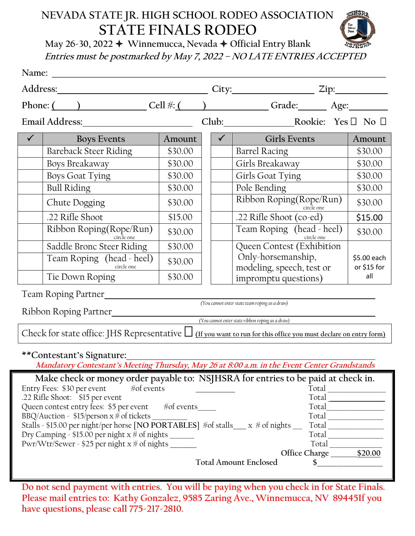## **NEVADA STATE JR. HIGH SCHOOL RODEO ASSOCIATION STATE FINALS RODEO**



**May 26-30, 2022 Winnemucca, Nevada Official Entry Blank Entries must be postmarked by May 7, <sup>2022</sup> – NO LATE ENTRIES ACCEPTED**

|                                                                                                                                                                                                                                                                                                                                                                                                                                                                                                                                    |         |  | $City:$ $Zip:$                                                |                    |  |  |
|------------------------------------------------------------------------------------------------------------------------------------------------------------------------------------------------------------------------------------------------------------------------------------------------------------------------------------------------------------------------------------------------------------------------------------------------------------------------------------------------------------------------------------|---------|--|---------------------------------------------------------------|--------------------|--|--|
| Phone: ( ) Cell #: ( ) Cell = Grade: Age:                                                                                                                                                                                                                                                                                                                                                                                                                                                                                          |         |  |                                                               |                    |  |  |
| Email Address: No. 1998                                                                                                                                                                                                                                                                                                                                                                                                                                                                                                            |         |  | Club: Rookie: Yes D No D                                      |                    |  |  |
| $\checkmark$<br><b>Boys Events</b>                                                                                                                                                                                                                                                                                                                                                                                                                                                                                                 | Amount  |  | $\checkmark$ . The set of $\checkmark$<br><b>Girls Events</b> | Amount             |  |  |
| <b>Bareback Steer Riding</b>                                                                                                                                                                                                                                                                                                                                                                                                                                                                                                       | \$30.00 |  | <b>Barrel Racing</b>                                          | \$30.00            |  |  |
| Boys Breakaway                                                                                                                                                                                                                                                                                                                                                                                                                                                                                                                     | \$30.00 |  | Girls Breakaway                                               | \$30.00            |  |  |
| <b>Boys Goat Tying</b>                                                                                                                                                                                                                                                                                                                                                                                                                                                                                                             | \$30.00 |  | Girls Goat Tying                                              | \$30.00            |  |  |
| <b>Bull Riding</b>                                                                                                                                                                                                                                                                                                                                                                                                                                                                                                                 | \$30.00 |  | Pole Bending                                                  | \$30.00            |  |  |
| Chute Dogging                                                                                                                                                                                                                                                                                                                                                                                                                                                                                                                      | \$30.00 |  | Ribbon Roping(Rope/Run)<br>circle one                         | \$30.00            |  |  |
| .22 Rifle Shoot                                                                                                                                                                                                                                                                                                                                                                                                                                                                                                                    | \$15.00 |  | .22 Rifle Shoot (co-ed)                                       | \$15.00            |  |  |
| Ribbon Roping(Rope/Run)<br>circle one                                                                                                                                                                                                                                                                                                                                                                                                                                                                                              | \$30.00 |  | Team Roping (head - heel)<br>circle one                       | \$30.00            |  |  |
| Saddle Bronc Steer Riding                                                                                                                                                                                                                                                                                                                                                                                                                                                                                                          | \$30.00 |  | Queen Contest (Exhibition                                     |                    |  |  |
| Team Roping (head - heel)                                                                                                                                                                                                                                                                                                                                                                                                                                                                                                          | \$30.00 |  | Only-horsemanship,                                            | \$5.00 each        |  |  |
| circle one<br>Tie Down Roping                                                                                                                                                                                                                                                                                                                                                                                                                                                                                                      | \$30.00 |  | modeling, speech, test or                                     | or \$15 for<br>all |  |  |
|                                                                                                                                                                                                                                                                                                                                                                                                                                                                                                                                    |         |  | impromptu questions)                                          |                    |  |  |
| Team Roping Partner                                                                                                                                                                                                                                                                                                                                                                                                                                                                                                                |         |  |                                                               |                    |  |  |
| (You cannot enter state team roping as a draw)<br>Ribbon Roping Partner                                                                                                                                                                                                                                                                                                                                                                                                                                                            |         |  |                                                               |                    |  |  |
| (You cannot enter state ribbon roping as a draw)                                                                                                                                                                                                                                                                                                                                                                                                                                                                                   |         |  |                                                               |                    |  |  |
| Check for state office: JHS Representative $\Box$ (If you want to run for this office you must declare on entry form)                                                                                                                                                                                                                                                                                                                                                                                                              |         |  |                                                               |                    |  |  |
| **Contestant's Signature:<br>Mandatory Contestant's Meeting Thursday, May 26 at 8:00 a.m. in the Event Center Grandstands                                                                                                                                                                                                                                                                                                                                                                                                          |         |  |                                                               |                    |  |  |
| Make check or money order payable to: NSJHSRA for entries to be paid at check in.<br>$*$ of events<br>Entry Fees: \$30 per event<br>.22 Rifle Shoot: \$15 per event<br>Queen contest entry fees: \$5 per event #of events<br>Total<br>BBQ/Auction - \$15/person $x \#$ of tickets ______<br>Stalls - \$15.00 per night/per horse [NO PORTABLES] #of stalls___ x # of nights __<br>Total<br>Dry Camping - \$15.00 per night x * of nights _______<br>Total __________<br>Office Charge 520.00<br><b>Total Amount Enclosed</b><br>\$ |         |  |                                                               |                    |  |  |

**Do not send payment with entries. You will be paying when you check in for State Finals. Please mail entries to: Kathy Gonzalez, 9585 Zaring Ave., Winnemucca, NV 89445If you have questions, please call 775-217-2810.**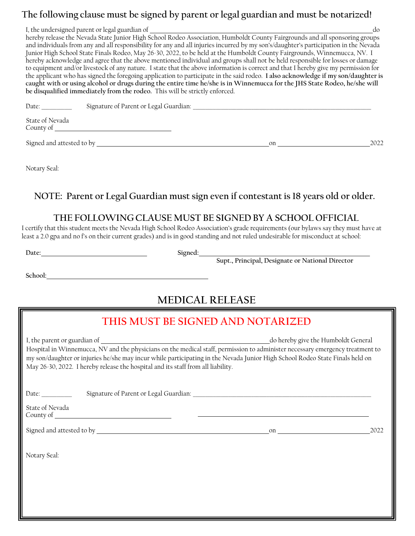#### **The following clause must be signed by parent or legal guardian and must be notarized!**

I, the undersigned parent or legal guardian of do contact the understanding of do contact the understanding do contact do contact the understanding do contact the unit of do contact do contact the unit of do contact the un hereby release the Nevada State Junior High School Rodeo Association, Humboldt County Fairgrounds and all sponsoring groups and individuals from any and all responsibility for any and all injuries incurred by my son's/daughter's participation in the Nevada Junior High School State Finals Rodeo, May 26-30, 2022, to be held at the Humboldt County Fairgrounds, Winnemucca, NV. I hereby acknowledge and agree that the above mentioned individual and groups shall not be held responsible for losses or damage to equipment and/or livestock of any nature. I state that the above information is correct and that I hereby give my permission for the applicant who has signed the foregoing application to participate in the said rodeo. **I also acknowledge if my son/daughter is caught with or using alcohol or drugs during the entire time he/she is in Winnemucca for the JHS State Rodeo, he/she will be disqualified immediately from the rodeo.** This will be strictly enforced.

| Date:                        | Signature of Parent or Legal Guardian: |    |      |
|------------------------------|----------------------------------------|----|------|
| State of Nevada<br>County of |                                        |    |      |
| Signed and attested to by    |                                        | on | 2022 |

Notary Seal:

#### **NOTE: Parent or Legal Guardian must sign even if contestantis 18 years old or older.**

#### **THE FOLLOWING CLAUSE MUST BE SIGNED BY A SCHOOL OFFICIAL**

I certify that this student meets the Nevada High School Rodeo Association's grade requirements (our bylaws say they must have at least a 2.0 gpa and no f's on their current grades) and is in good standing and not ruled undesirable for misconduct at school:

Date: Signed:

**Supt., Principal, Designate or National Director**

**School:**

## **MEDICAL RELEASE**

## **THIS MUST BE SIGNED AND NOTARIZED**

I, the parent or guardian of  $\qquad \qquad$  do hereby give the Humboldt General Hospital in Winnemucca, NV and the physicians on the medical staff, permission to administer necessary emergency treatment to my son/daughter or injuries he/she may incur while participating in the Nevada Junior High School Rodeo State Finals held on May 26-30, 2022. I hereby release the hospital and its staff from all liability.

Date: \_\_\_\_\_\_\_\_\_\_\_\_ Signature of Parent or Legal Guardian: \_\_\_\_\_\_\_\_\_\_\_\_\_\_\_\_\_\_\_\_\_\_\_\_\_\_\_\_\_\_\_\_\_\_\_\_\_\_\_\_\_\_\_\_\_\_\_\_\_\_\_\_\_\_\_\_\_\_\_\_\_\_\_\_\_\_\_\_\_\_

 State of Nevada County of

Signed and attested to by on 2022

Notary Seal: